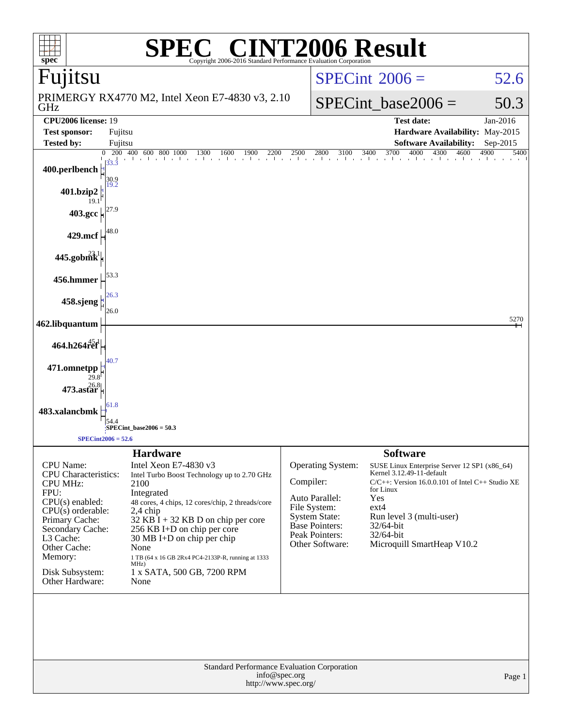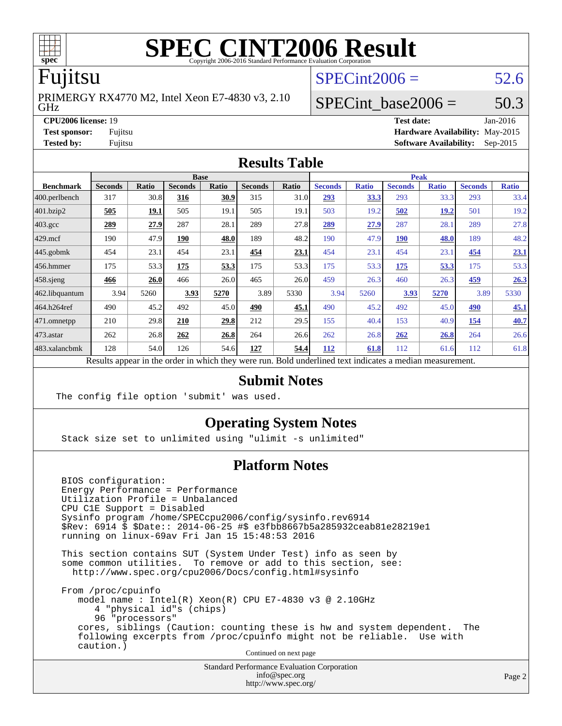

# **[SPEC CINT2006 Result](http://www.spec.org/auto/cpu2006/Docs/result-fields.html#SPECCINT2006Result)**

## Fujitsu

GHz PRIMERGY RX4770 M2, Intel Xeon E7-4830 v3, 2.10  $SPECint2006 = 52.6$  $SPECint2006 = 52.6$ 

### **[CPU2006 license:](http://www.spec.org/auto/cpu2006/Docs/result-fields.html#CPU2006license)** 19 **[Test date:](http://www.spec.org/auto/cpu2006/Docs/result-fields.html#Testdate)** Jan-2016

SPECint base2006 =  $50.3$ 

**[Test sponsor:](http://www.spec.org/auto/cpu2006/Docs/result-fields.html#Testsponsor)** Fujitsu **[Hardware Availability:](http://www.spec.org/auto/cpu2006/Docs/result-fields.html#HardwareAvailability)** May-2015 **[Tested by:](http://www.spec.org/auto/cpu2006/Docs/result-fields.html#Testedby)** Fujitsu **[Software Availability:](http://www.spec.org/auto/cpu2006/Docs/result-fields.html#SoftwareAvailability)** Sep-2015

### **[Results Table](http://www.spec.org/auto/cpu2006/Docs/result-fields.html#ResultsTable)**

|                         | <b>Base</b>                                                                                              |             |                |       |                |       | <b>Peak</b>    |              |                |              |                |              |  |
|-------------------------|----------------------------------------------------------------------------------------------------------|-------------|----------------|-------|----------------|-------|----------------|--------------|----------------|--------------|----------------|--------------|--|
| <b>Benchmark</b>        | <b>Seconds</b>                                                                                           | Ratio       | <b>Seconds</b> | Ratio | <b>Seconds</b> | Ratio | <b>Seconds</b> | <b>Ratio</b> | <b>Seconds</b> | <b>Ratio</b> | <b>Seconds</b> | <b>Ratio</b> |  |
| $ 400.\text{perlbench}$ | 317                                                                                                      | 30.8        | 316            | 30.9  | 315            | 31.0  | 293            | 33.3         | 293            | 33.3         | 293            | 33.4         |  |
| 401.bzip2               | 505                                                                                                      | <u>19.1</u> | 505            | 19.1  | 505            | 19.1  | 503            | 19.2         | 502            | <u>19.2</u>  | 501            | 19.2         |  |
| $403.\mathrm{gcc}$      | 289                                                                                                      | 27.9        | 287            | 28.1  | 289            | 27.8  | 289            | 27.9         | 287            | 28.1         | 289            | 27.8         |  |
| $429$ mcf               | 190                                                                                                      | 47.9        | 190            | 48.0  | 189            | 48.2  | 190            | 47.9         | <b>190</b>     | 48.0         | 189            | 48.2         |  |
| $445$ .gobmk            | 454                                                                                                      | 23.1        | 454            | 23.1  | 454            | 23.1  | 454            | 23.1         | 454            | 23.1         | 454            | 23.1         |  |
| $456.$ hmmer            | 175                                                                                                      | 53.3        | 175            | 53.3  | 175            | 53.3  | 175            | 53.3         | 175            | 53.3         | 175            | 53.3         |  |
| $458$ .sjeng            | 466                                                                                                      | 26.0        | 466            | 26.0  | 465            | 26.0  | 459            | 26.3         | 460            | 26.3         | 459            | 26.3         |  |
| 462.libquantum          | 3.94                                                                                                     | 5260        | 3.93           | 5270  | 3.89           | 5330  | 3.94           | 5260         | 3.93           | 5270         | 3.89           | 5330         |  |
| 464.h264ref             | 490                                                                                                      | 45.2        | 492            | 45.0  | 490            | 45.1  | 490            | 45.2         | 492            | 45.0         | 490            | 45.1         |  |
| 471.omnetpp             | 210                                                                                                      | 29.8        | 210            | 29.8  | 212            | 29.5  | 155            | 40.4         | 153            | 40.9         | 154            | 40.7         |  |
| $473$ . astar           | 262                                                                                                      | 26.8        | 262            | 26.8  | 264            | 26.6  | 262            | 26.8         | 262            | 26.8         | 264            | 26.6         |  |
| 483.xalancbmk           | 128                                                                                                      | 54.0        | 126            | 54.6  | 127            | 54.4  | 112            | 61.8         | 112            | 61.6         | 112            | 61.8         |  |
|                         | Results appear in the order in which they were run. Bold underlined text indicates a median measurement. |             |                |       |                |       |                |              |                |              |                |              |  |

### **[Submit Notes](http://www.spec.org/auto/cpu2006/Docs/result-fields.html#SubmitNotes)**

The config file option 'submit' was used.

### **[Operating System Notes](http://www.spec.org/auto/cpu2006/Docs/result-fields.html#OperatingSystemNotes)**

Stack size set to unlimited using "ulimit -s unlimited"

### **[Platform Notes](http://www.spec.org/auto/cpu2006/Docs/result-fields.html#PlatformNotes)**

 BIOS configuration: Energy Performance = Performance Utilization Profile = Unbalanced CPU C1E Support = Disabled Sysinfo program /home/SPECcpu2006/config/sysinfo.rev6914 \$Rev: 6914 \$ \$Date:: 2014-06-25 #\$ e3fbb8667b5a285932ceab81e28219e1 running on linux-69av Fri Jan 15 15:48:53 2016

 This section contains SUT (System Under Test) info as seen by some common utilities. To remove or add to this section, see: <http://www.spec.org/cpu2006/Docs/config.html#sysinfo>

 From /proc/cpuinfo model name : Intel(R) Xeon(R) CPU E7-4830 v3 @ 2.10GHz 4 "physical id"s (chips) 96 "processors" cores, siblings (Caution: counting these is hw and system dependent. The following excerpts from /proc/cpuinfo might not be reliable. Use with caution.)

Continued on next page

Standard Performance Evaluation Corporation [info@spec.org](mailto:info@spec.org) <http://www.spec.org/>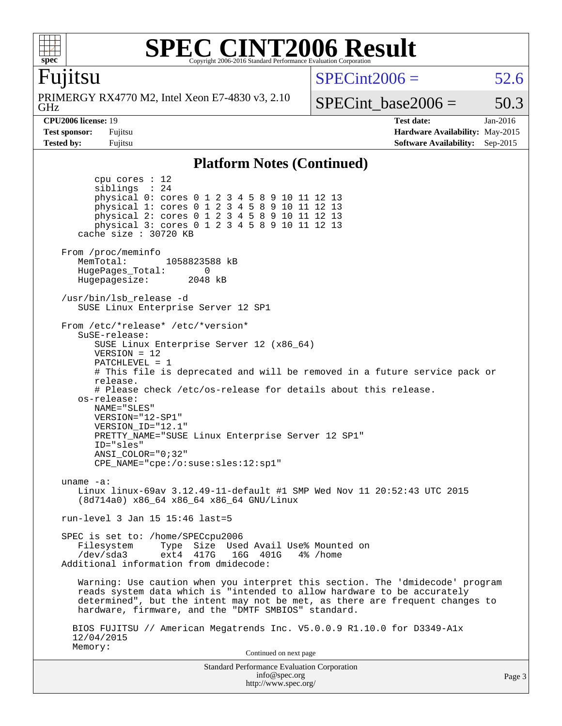

### **[SPEC CINT2006 Result](http://www.spec.org/auto/cpu2006/Docs/result-fields.html#SPECCINT2006Result)** Copyright 2006-2016 Standard Performance Evaluation Corpora

### Fujitsu

GHz PRIMERGY RX4770 M2, Intel Xeon E7-4830 v3, 2.10  $SPECint2006 = 52.6$  $SPECint2006 = 52.6$ 

SPECint base2006 =  $50.3$ 

**[CPU2006 license:](http://www.spec.org/auto/cpu2006/Docs/result-fields.html#CPU2006license)** 19 **[Test date:](http://www.spec.org/auto/cpu2006/Docs/result-fields.html#Testdate)** Jan-2016 **[Test sponsor:](http://www.spec.org/auto/cpu2006/Docs/result-fields.html#Testsponsor)** Fujitsu **[Hardware Availability:](http://www.spec.org/auto/cpu2006/Docs/result-fields.html#HardwareAvailability)** May-2015 **[Tested by:](http://www.spec.org/auto/cpu2006/Docs/result-fields.html#Testedby)** Fujitsu **[Software Availability:](http://www.spec.org/auto/cpu2006/Docs/result-fields.html#SoftwareAvailability)** Sep-2015

### **[Platform Notes \(Continued\)](http://www.spec.org/auto/cpu2006/Docs/result-fields.html#PlatformNotes)**

Standard Performance Evaluation Corporation [info@spec.org](mailto:info@spec.org) <http://www.spec.org/> Page 3 cpu cores : 12<br>siblings : 24 siblings physical 0: cores 0 1 2 3 4 5 8 9 10 11 12 13 physical 1: cores 0 1 2 3 4 5 8 9 10 11 12 13 physical 2: cores 0 1 2 3 4 5 8 9 10 11 12 13 physical 3: cores 0 1 2 3 4 5 8 9 10 11 12 13 cache size : 30720 KB From /proc/meminfo MemTotal: 1058823588 kB HugePages\_Total: 0 Hugepagesize: 2048 kB /usr/bin/lsb\_release -d SUSE Linux Enterprise Server 12 SP1 From /etc/\*release\* /etc/\*version\* SuSE-release: SUSE Linux Enterprise Server 12 (x86\_64) VERSION = 12 PATCHLEVEL = 1 # This file is deprecated and will be removed in a future service pack or release. # Please check /etc/os-release for details about this release. os-release: NAME="SLES" VERSION="12-SP1" VERSION\_ID="12.1" PRETTY\_NAME="SUSE Linux Enterprise Server 12 SP1" ID="sles" ANSI\_COLOR="0;32" CPE\_NAME="cpe:/o:suse:sles:12:sp1" uname -a: Linux linux-69av 3.12.49-11-default #1 SMP Wed Nov 11 20:52:43 UTC 2015 (8d714a0) x86\_64 x86\_64 x86\_64 GNU/Linux run-level 3 Jan 15 15:46 last=5 SPEC is set to: /home/SPECcpu2006 Filesystem Type Size Used Avail Use% Mounted on<br>
/dev/sda3 ext4 417G 16G 401G 4% /home /dev/sda3 ext4 417G 16G 401G 4% /home Additional information from dmidecode: Warning: Use caution when you interpret this section. The 'dmidecode' program reads system data which is "intended to allow hardware to be accurately determined", but the intent may not be met, as there are frequent changes to hardware, firmware, and the "DMTF SMBIOS" standard. BIOS FUJITSU // American Megatrends Inc. V5.0.0.9 R1.10.0 for D3349-A1x 12/04/2015 Memory: Continued on next page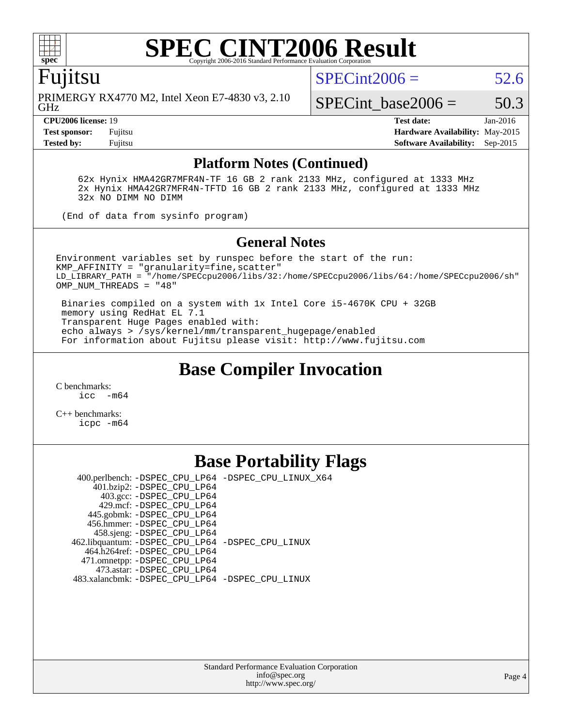

### **[SPEC CINT2006 Result](http://www.spec.org/auto/cpu2006/Docs/result-fields.html#SPECCINT2006Result)** Copyright 2006-2016 Standard Performance Evaluation C

Fujitsu

GHz PRIMERGY RX4770 M2, Intel Xeon E7-4830 v3, 2.10  $SPECint2006 = 52.6$  $SPECint2006 = 52.6$ 

SPECint base2006 =  $50.3$ 

**[CPU2006 license:](http://www.spec.org/auto/cpu2006/Docs/result-fields.html#CPU2006license)** 19 **[Test date:](http://www.spec.org/auto/cpu2006/Docs/result-fields.html#Testdate)** Jan-2016 **[Test sponsor:](http://www.spec.org/auto/cpu2006/Docs/result-fields.html#Testsponsor)** Fujitsu **[Hardware Availability:](http://www.spec.org/auto/cpu2006/Docs/result-fields.html#HardwareAvailability)** May-2015 **[Tested by:](http://www.spec.org/auto/cpu2006/Docs/result-fields.html#Testedby)** Fujitsu **[Software Availability:](http://www.spec.org/auto/cpu2006/Docs/result-fields.html#SoftwareAvailability)** Sep-2015

### **[Platform Notes \(Continued\)](http://www.spec.org/auto/cpu2006/Docs/result-fields.html#PlatformNotes)**

 62x Hynix HMA42GR7MFR4N-TF 16 GB 2 rank 2133 MHz, configured at 1333 MHz 2x Hynix HMA42GR7MFR4N-TFTD 16 GB 2 rank 2133 MHz, configured at 1333 MHz 32x NO DIMM NO DIMM

(End of data from sysinfo program)

### **[General Notes](http://www.spec.org/auto/cpu2006/Docs/result-fields.html#GeneralNotes)**

Environment variables set by runspec before the start of the run: KMP\_AFFINITY = "granularity=fine,scatter" LD\_LIBRARY\_PATH = "/home/SPECcpu2006/libs/32:/home/SPECcpu2006/libs/64:/home/SPECcpu2006/sh" OMP\_NUM\_THREADS = "48"

 Binaries compiled on a system with 1x Intel Core i5-4670K CPU + 32GB memory using RedHat EL 7.1 Transparent Huge Pages enabled with: echo always > /sys/kernel/mm/transparent\_hugepage/enabled For information about Fujitsu please visit: <http://www.fujitsu.com>

# **[Base Compiler Invocation](http://www.spec.org/auto/cpu2006/Docs/result-fields.html#BaseCompilerInvocation)**

[C benchmarks](http://www.spec.org/auto/cpu2006/Docs/result-fields.html#Cbenchmarks): [icc -m64](http://www.spec.org/cpu2006/results/res2016q1/cpu2006-20160125-38759.flags.html#user_CCbase_intel_icc_64bit_f346026e86af2a669e726fe758c88044)

[C++ benchmarks:](http://www.spec.org/auto/cpu2006/Docs/result-fields.html#CXXbenchmarks) [icpc -m64](http://www.spec.org/cpu2006/results/res2016q1/cpu2006-20160125-38759.flags.html#user_CXXbase_intel_icpc_64bit_fc66a5337ce925472a5c54ad6a0de310)

## **[Base Portability Flags](http://www.spec.org/auto/cpu2006/Docs/result-fields.html#BasePortabilityFlags)**

 400.perlbench: [-DSPEC\\_CPU\\_LP64](http://www.spec.org/cpu2006/results/res2016q1/cpu2006-20160125-38759.flags.html#b400.perlbench_basePORTABILITY_DSPEC_CPU_LP64) [-DSPEC\\_CPU\\_LINUX\\_X64](http://www.spec.org/cpu2006/results/res2016q1/cpu2006-20160125-38759.flags.html#b400.perlbench_baseCPORTABILITY_DSPEC_CPU_LINUX_X64) 401.bzip2: [-DSPEC\\_CPU\\_LP64](http://www.spec.org/cpu2006/results/res2016q1/cpu2006-20160125-38759.flags.html#suite_basePORTABILITY401_bzip2_DSPEC_CPU_LP64) 403.gcc: [-DSPEC\\_CPU\\_LP64](http://www.spec.org/cpu2006/results/res2016q1/cpu2006-20160125-38759.flags.html#suite_basePORTABILITY403_gcc_DSPEC_CPU_LP64) 429.mcf: [-DSPEC\\_CPU\\_LP64](http://www.spec.org/cpu2006/results/res2016q1/cpu2006-20160125-38759.flags.html#suite_basePORTABILITY429_mcf_DSPEC_CPU_LP64) 445.gobmk: [-DSPEC\\_CPU\\_LP64](http://www.spec.org/cpu2006/results/res2016q1/cpu2006-20160125-38759.flags.html#suite_basePORTABILITY445_gobmk_DSPEC_CPU_LP64) 456.hmmer: [-DSPEC\\_CPU\\_LP64](http://www.spec.org/cpu2006/results/res2016q1/cpu2006-20160125-38759.flags.html#suite_basePORTABILITY456_hmmer_DSPEC_CPU_LP64) 458.sjeng: [-DSPEC\\_CPU\\_LP64](http://www.spec.org/cpu2006/results/res2016q1/cpu2006-20160125-38759.flags.html#suite_basePORTABILITY458_sjeng_DSPEC_CPU_LP64) 462.libquantum: [-DSPEC\\_CPU\\_LP64](http://www.spec.org/cpu2006/results/res2016q1/cpu2006-20160125-38759.flags.html#suite_basePORTABILITY462_libquantum_DSPEC_CPU_LP64) [-DSPEC\\_CPU\\_LINUX](http://www.spec.org/cpu2006/results/res2016q1/cpu2006-20160125-38759.flags.html#b462.libquantum_baseCPORTABILITY_DSPEC_CPU_LINUX) 464.h264ref: [-DSPEC\\_CPU\\_LP64](http://www.spec.org/cpu2006/results/res2016q1/cpu2006-20160125-38759.flags.html#suite_basePORTABILITY464_h264ref_DSPEC_CPU_LP64) 471.omnetpp: [-DSPEC\\_CPU\\_LP64](http://www.spec.org/cpu2006/results/res2016q1/cpu2006-20160125-38759.flags.html#suite_basePORTABILITY471_omnetpp_DSPEC_CPU_LP64) 473.astar: [-DSPEC\\_CPU\\_LP64](http://www.spec.org/cpu2006/results/res2016q1/cpu2006-20160125-38759.flags.html#suite_basePORTABILITY473_astar_DSPEC_CPU_LP64) 483.xalancbmk: [-DSPEC\\_CPU\\_LP64](http://www.spec.org/cpu2006/results/res2016q1/cpu2006-20160125-38759.flags.html#suite_basePORTABILITY483_xalancbmk_DSPEC_CPU_LP64) [-DSPEC\\_CPU\\_LINUX](http://www.spec.org/cpu2006/results/res2016q1/cpu2006-20160125-38759.flags.html#b483.xalancbmk_baseCXXPORTABILITY_DSPEC_CPU_LINUX)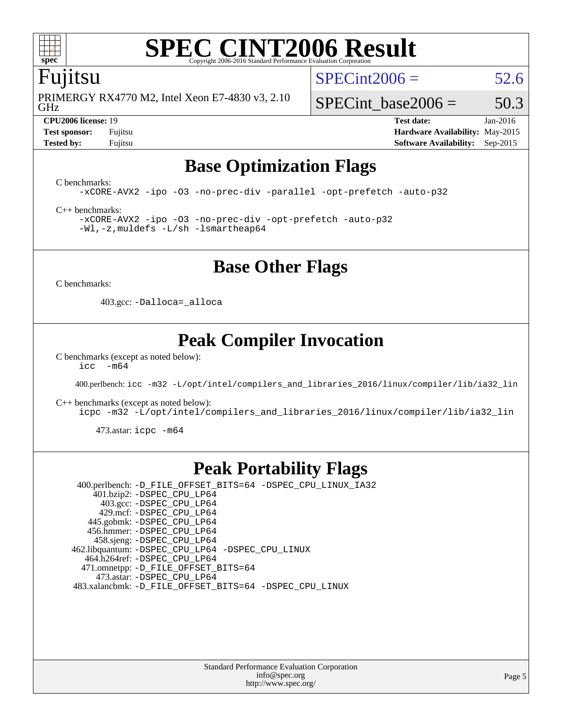

# **[SPEC CINT2006 Result](http://www.spec.org/auto/cpu2006/Docs/result-fields.html#SPECCINT2006Result)**

### Fujitsu

GHz PRIMERGY RX4770 M2, Intel Xeon E7-4830 v3, 2.10  $SPECint2006 = 52.6$  $SPECint2006 = 52.6$ 

SPECint base2006 =  $50.3$ **[CPU2006 license:](http://www.spec.org/auto/cpu2006/Docs/result-fields.html#CPU2006license)** 19 **[Test date:](http://www.spec.org/auto/cpu2006/Docs/result-fields.html#Testdate)** Jan-2016 **[Test sponsor:](http://www.spec.org/auto/cpu2006/Docs/result-fields.html#Testsponsor)** Fujitsu **[Hardware Availability:](http://www.spec.org/auto/cpu2006/Docs/result-fields.html#HardwareAvailability)** May-2015

**[Tested by:](http://www.spec.org/auto/cpu2006/Docs/result-fields.html#Testedby)** Fujitsu **[Software Availability:](http://www.spec.org/auto/cpu2006/Docs/result-fields.html#SoftwareAvailability)** Sep-2015

# **[Base Optimization Flags](http://www.spec.org/auto/cpu2006/Docs/result-fields.html#BaseOptimizationFlags)**

[C benchmarks](http://www.spec.org/auto/cpu2006/Docs/result-fields.html#Cbenchmarks):

[-xCORE-AVX2](http://www.spec.org/cpu2006/results/res2016q1/cpu2006-20160125-38759.flags.html#user_CCbase_f-xAVX2_5f5fc0cbe2c9f62c816d3e45806c70d7) [-ipo](http://www.spec.org/cpu2006/results/res2016q1/cpu2006-20160125-38759.flags.html#user_CCbase_f-ipo) [-O3](http://www.spec.org/cpu2006/results/res2016q1/cpu2006-20160125-38759.flags.html#user_CCbase_f-O3) [-no-prec-div](http://www.spec.org/cpu2006/results/res2016q1/cpu2006-20160125-38759.flags.html#user_CCbase_f-no-prec-div) [-parallel](http://www.spec.org/cpu2006/results/res2016q1/cpu2006-20160125-38759.flags.html#user_CCbase_f-parallel) [-opt-prefetch](http://www.spec.org/cpu2006/results/res2016q1/cpu2006-20160125-38759.flags.html#user_CCbase_f-opt-prefetch) [-auto-p32](http://www.spec.org/cpu2006/results/res2016q1/cpu2006-20160125-38759.flags.html#user_CCbase_f-auto-p32)

[C++ benchmarks:](http://www.spec.org/auto/cpu2006/Docs/result-fields.html#CXXbenchmarks)

[-xCORE-AVX2](http://www.spec.org/cpu2006/results/res2016q1/cpu2006-20160125-38759.flags.html#user_CXXbase_f-xAVX2_5f5fc0cbe2c9f62c816d3e45806c70d7) [-ipo](http://www.spec.org/cpu2006/results/res2016q1/cpu2006-20160125-38759.flags.html#user_CXXbase_f-ipo) [-O3](http://www.spec.org/cpu2006/results/res2016q1/cpu2006-20160125-38759.flags.html#user_CXXbase_f-O3) [-no-prec-div](http://www.spec.org/cpu2006/results/res2016q1/cpu2006-20160125-38759.flags.html#user_CXXbase_f-no-prec-div) [-opt-prefetch](http://www.spec.org/cpu2006/results/res2016q1/cpu2006-20160125-38759.flags.html#user_CXXbase_f-opt-prefetch) [-auto-p32](http://www.spec.org/cpu2006/results/res2016q1/cpu2006-20160125-38759.flags.html#user_CXXbase_f-auto-p32) [-Wl,-z,muldefs](http://www.spec.org/cpu2006/results/res2016q1/cpu2006-20160125-38759.flags.html#user_CXXbase_link_force_multiple1_74079c344b956b9658436fd1b6dd3a8a) [-L/sh -lsmartheap64](http://www.spec.org/cpu2006/results/res2016q1/cpu2006-20160125-38759.flags.html#user_CXXbase_SmartHeap64_ed4ef857ce90951921efb0d91eb88472)

# **[Base Other Flags](http://www.spec.org/auto/cpu2006/Docs/result-fields.html#BaseOtherFlags)**

[C benchmarks](http://www.spec.org/auto/cpu2006/Docs/result-fields.html#Cbenchmarks):

403.gcc: [-Dalloca=\\_alloca](http://www.spec.org/cpu2006/results/res2016q1/cpu2006-20160125-38759.flags.html#b403.gcc_baseEXTRA_CFLAGS_Dalloca_be3056838c12de2578596ca5467af7f3)

# **[Peak Compiler Invocation](http://www.spec.org/auto/cpu2006/Docs/result-fields.html#PeakCompilerInvocation)**

[C benchmarks \(except as noted below\)](http://www.spec.org/auto/cpu2006/Docs/result-fields.html#Cbenchmarksexceptasnotedbelow):  $\text{icc}$  -m64

400.perlbench: [icc -m32 -L/opt/intel/compilers\\_and\\_libraries\\_2016/linux/compiler/lib/ia32\\_lin](http://www.spec.org/cpu2006/results/res2016q1/cpu2006-20160125-38759.flags.html#user_peakCCLD400_perlbench_intel_icc_e10256ba5924b668798078a321b0cb3f)

[C++ benchmarks \(except as noted below\):](http://www.spec.org/auto/cpu2006/Docs/result-fields.html#CXXbenchmarksexceptasnotedbelow)

[icpc -m32 -L/opt/intel/compilers\\_and\\_libraries\\_2016/linux/compiler/lib/ia32\\_lin](http://www.spec.org/cpu2006/results/res2016q1/cpu2006-20160125-38759.flags.html#user_CXXpeak_intel_icpc_b4f50a394bdb4597aa5879c16bc3f5c5)

473.astar: [icpc -m64](http://www.spec.org/cpu2006/results/res2016q1/cpu2006-20160125-38759.flags.html#user_peakCXXLD473_astar_intel_icpc_64bit_fc66a5337ce925472a5c54ad6a0de310)

# **[Peak Portability Flags](http://www.spec.org/auto/cpu2006/Docs/result-fields.html#PeakPortabilityFlags)**

 400.perlbench: [-D\\_FILE\\_OFFSET\\_BITS=64](http://www.spec.org/cpu2006/results/res2016q1/cpu2006-20160125-38759.flags.html#user_peakPORTABILITY400_perlbench_file_offset_bits_64_438cf9856305ebd76870a2c6dc2689ab) [-DSPEC\\_CPU\\_LINUX\\_IA32](http://www.spec.org/cpu2006/results/res2016q1/cpu2006-20160125-38759.flags.html#b400.perlbench_peakCPORTABILITY_DSPEC_CPU_LINUX_IA32) 401.bzip2: [-DSPEC\\_CPU\\_LP64](http://www.spec.org/cpu2006/results/res2016q1/cpu2006-20160125-38759.flags.html#suite_peakPORTABILITY401_bzip2_DSPEC_CPU_LP64) 403.gcc: [-DSPEC\\_CPU\\_LP64](http://www.spec.org/cpu2006/results/res2016q1/cpu2006-20160125-38759.flags.html#suite_peakPORTABILITY403_gcc_DSPEC_CPU_LP64) 429.mcf: [-DSPEC\\_CPU\\_LP64](http://www.spec.org/cpu2006/results/res2016q1/cpu2006-20160125-38759.flags.html#suite_peakPORTABILITY429_mcf_DSPEC_CPU_LP64) 445.gobmk: [-DSPEC\\_CPU\\_LP64](http://www.spec.org/cpu2006/results/res2016q1/cpu2006-20160125-38759.flags.html#suite_peakPORTABILITY445_gobmk_DSPEC_CPU_LP64) 456.hmmer: [-DSPEC\\_CPU\\_LP64](http://www.spec.org/cpu2006/results/res2016q1/cpu2006-20160125-38759.flags.html#suite_peakPORTABILITY456_hmmer_DSPEC_CPU_LP64) 458.sjeng: [-DSPEC\\_CPU\\_LP64](http://www.spec.org/cpu2006/results/res2016q1/cpu2006-20160125-38759.flags.html#suite_peakPORTABILITY458_sjeng_DSPEC_CPU_LP64) 462.libquantum: [-DSPEC\\_CPU\\_LP64](http://www.spec.org/cpu2006/results/res2016q1/cpu2006-20160125-38759.flags.html#suite_peakPORTABILITY462_libquantum_DSPEC_CPU_LP64) [-DSPEC\\_CPU\\_LINUX](http://www.spec.org/cpu2006/results/res2016q1/cpu2006-20160125-38759.flags.html#b462.libquantum_peakCPORTABILITY_DSPEC_CPU_LINUX) 464.h264ref: [-DSPEC\\_CPU\\_LP64](http://www.spec.org/cpu2006/results/res2016q1/cpu2006-20160125-38759.flags.html#suite_peakPORTABILITY464_h264ref_DSPEC_CPU_LP64) 471.omnetpp: [-D\\_FILE\\_OFFSET\\_BITS=64](http://www.spec.org/cpu2006/results/res2016q1/cpu2006-20160125-38759.flags.html#user_peakPORTABILITY471_omnetpp_file_offset_bits_64_438cf9856305ebd76870a2c6dc2689ab) 473.astar: [-DSPEC\\_CPU\\_LP64](http://www.spec.org/cpu2006/results/res2016q1/cpu2006-20160125-38759.flags.html#suite_peakPORTABILITY473_astar_DSPEC_CPU_LP64) 483.xalancbmk: [-D\\_FILE\\_OFFSET\\_BITS=64](http://www.spec.org/cpu2006/results/res2016q1/cpu2006-20160125-38759.flags.html#user_peakPORTABILITY483_xalancbmk_file_offset_bits_64_438cf9856305ebd76870a2c6dc2689ab) [-DSPEC\\_CPU\\_LINUX](http://www.spec.org/cpu2006/results/res2016q1/cpu2006-20160125-38759.flags.html#b483.xalancbmk_peakCXXPORTABILITY_DSPEC_CPU_LINUX)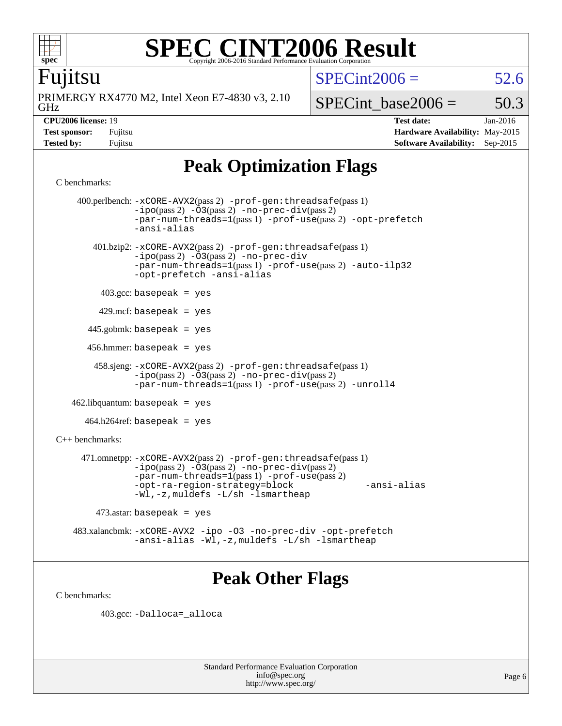

Fujitsu

# **[SPEC CINT2006 Result](http://www.spec.org/auto/cpu2006/Docs/result-fields.html#SPECCINT2006Result)**

 $SPECint2006 = 52.6$  $SPECint2006 = 52.6$ 

GHz PRIMERGY RX4770 M2, Intel Xeon E7-4830 v3, 2.10

SPECint base2006 =  $50.3$ 

**[CPU2006 license:](http://www.spec.org/auto/cpu2006/Docs/result-fields.html#CPU2006license)** 19 **[Test date:](http://www.spec.org/auto/cpu2006/Docs/result-fields.html#Testdate)** Jan-2016 **[Test sponsor:](http://www.spec.org/auto/cpu2006/Docs/result-fields.html#Testsponsor)** Fujitsu **[Hardware Availability:](http://www.spec.org/auto/cpu2006/Docs/result-fields.html#HardwareAvailability)** May-2015 **[Tested by:](http://www.spec.org/auto/cpu2006/Docs/result-fields.html#Testedby)** Fujitsu **[Software Availability:](http://www.spec.org/auto/cpu2006/Docs/result-fields.html#SoftwareAvailability)** Sep-2015

# **[Peak Optimization Flags](http://www.spec.org/auto/cpu2006/Docs/result-fields.html#PeakOptimizationFlags)**

```
C benchmarks:
```

```
 400.perlbench: -xCORE-AVX2(pass 2) -prof-gen:threadsafe(pass 1)
               -no-prec-div(pass 2)-par-num-threads=1(pass 1) -prof-use(pass 2) -opt-prefetch
               -ansi-alias
        401.bzip2: -xCORE-AVX2(pass 2) -prof-gen:threadsafe(pass 1)
               -ipo(pass 2) -O3(pass 2) -no-prec-div
               -par-num-threads=1(pass 1) -prof-use(pass 2) -auto-ilp32
               -opt-prefetch -ansi-alias
        403.\text{gcc: basepeak} = yes
         429.mcf: basepeak = yes
       445.gobmk: basepeak = yes
       456.hmmer: basepeak = yes
        458.sjeng: -xCORE-AVX2(pass 2) -prof-gen:threadsafe(pass 1)
               -no-prec-div(pass 2)-par-num-threads=1(pass 1) -prof-use(pass 2) -unroll4
   462.libquantum: basepeak = yes
     464.h264ref: basepeak = yes
C++ benchmarks: 
     471.omnetpp: -xCORE-AVX2(pass 2) -prof-gen:threadsafe(pass 1)
               -ipo(pass 2) -\overline{0}3(pass 2)-no-prec-div(pass 2)
               -par-num-threads=1(pass 1) -prof-use(pass 2)
               -opt-ra-region-strategy=block -ansi-alias
               -Wl,-z,muldefs -L/sh -lsmartheap
       473.astar: basepeak = yes
    483.xalancbmk: -xCORE-AVX2 -ipo -O3 -no-prec-div -opt-prefetch
               -ansi-alias -Wl,-z,muldefs -L/sh -lsmartheap
```
# **[Peak Other Flags](http://www.spec.org/auto/cpu2006/Docs/result-fields.html#PeakOtherFlags)**

[C benchmarks](http://www.spec.org/auto/cpu2006/Docs/result-fields.html#Cbenchmarks):

403.gcc: [-Dalloca=\\_alloca](http://www.spec.org/cpu2006/results/res2016q1/cpu2006-20160125-38759.flags.html#b403.gcc_peakEXTRA_CFLAGS_Dalloca_be3056838c12de2578596ca5467af7f3)

Standard Performance Evaluation Corporation [info@spec.org](mailto:info@spec.org) <http://www.spec.org/>